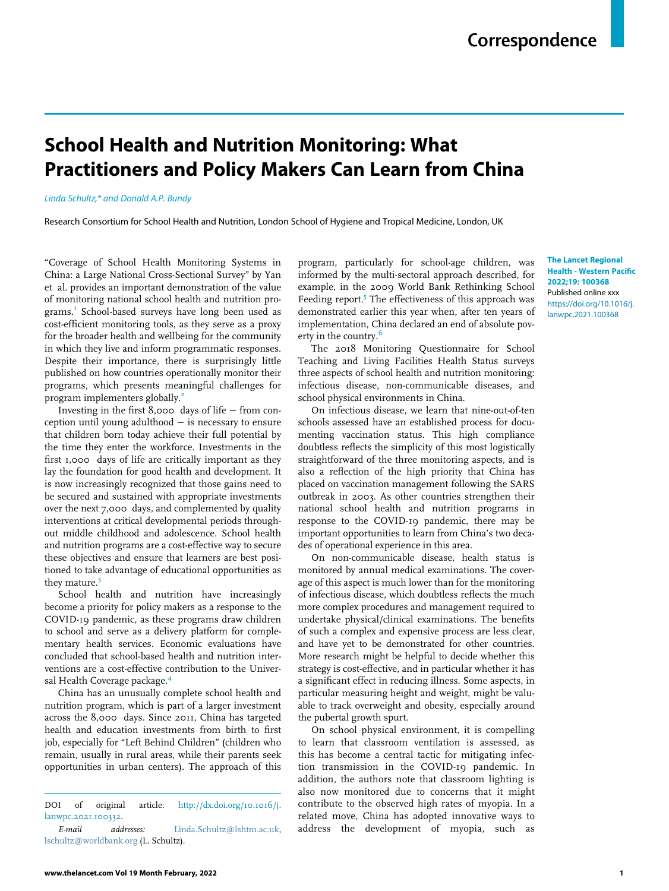## School Health and Nutrition Monitoring: What Practitioners and Policy Makers Can Learn from China

Linda Schultz,\* and Donald A.P. Bundy

Research Consortium for School Health and Nutrition, London School of Hygiene and Tropical Medicine, London, UK

"Coverage of School Health Monitoring Systems in China: a Large National Cross-Sectional Survey" by Yan et al. provides an important demonstration of the value of monitoring national school health and nutrition programs.<sup>1</sup> School-based surveys have long been used as cost-efficient monitoring tools, as they serve as a proxy for the broader health and wellbeing for the community in which they live and inform programmatic responses. Despite their importance, there is surprisingly little published on how countries operationally monitor their programs, which presents meaningful challenges for program implementers globally.<sup>2</sup>

Investing in the first 8,000 days of life − from conception until young adulthood − is necessary to ensure that children born today achieve their full potential by the time they enter the workforce. Investments in the first 1,000 days of life are critically important as they lay the foundation for good health and development. It is now increasingly recognized that those gains need to be secured and sustained with appropriate investments over the next 7,000 days, and complemented by quality interventions at critical developmental periods throughout middle childhood and adolescence. School health and nutrition programs are a cost-effective way to secure these objectives and ensure that learners are best positioned to take advantage of educational opportunities as they mature. $3$ 

School health and nutrition have increasingly become a priority for policy makers as a response to the COVID-19 pandemic, as these programs draw children to school and serve as a delivery platform for complementary health services. Economic evaluations have concluded that school-based health and nutrition interventions are a cost-effective contribution to the Universal Health Coverage package.<sup>4</sup>

China has an unusually complete school health and nutrition program, which is part of a larger investment across the 8,000 days. Since 2011, China has targeted health and education investments from birth to first job, especially for "Left Behind Children" (children who remain, usually in rural areas, while their parents seek opportunities in urban centers). The approach of this program, particularly for school-age children, was informed by the multi-sectoral approach described, for example, in the 2009 World Bank Rethinking School Feeding report.<sup>5</sup> The effectiveness of this approach was demonstrated earlier this year when, after ten years of implementation, China declared an end of absolute poverty in the country.<sup>6</sup>

The 2018 Monitoring Questionnaire for School Teaching and Living Facilities Health Status surveys three aspects of school health and nutrition monitoring: infectious disease, non-communicable diseases, and school physical environments in China.

On infectious disease, we learn that nine-out-of-ten schools assessed have an established process for documenting vaccination status. This high compliance doubtless reflects the simplicity of this most logistically straightforward of the three monitoring aspects, and is also a reflection of the high priority that China has placed on vaccination management following the SARS outbreak in 2003. As other countries strengthen their national school health and nutrition programs in response to the COVID-19 pandemic, there may be important opportunities to learn from China's two decades of operational experience in this area.

On non-communicable disease, health status is monitored by annual medical examinations. The coverage of this aspect is much lower than for the monitoring of infectious disease, which doubtless reflects the much more complex procedures and management required to undertake physical/clinical examinations. The benefits of such a complex and expensive process are less clear, and have yet to be demonstrated for other countries. More research might be helpful to decide whether this strategy is cost-effective, and in particular whether it has a significant effect in reducing illness. Some aspects, in particular measuring height and weight, might be valuable to track overweight and obesity, especially around the pubertal growth spurt.

On school physical environment, it is compelling to learn that classroom ventilation is assessed, as this has become a central tactic for mitigating infection transmission in the COVID-19 pandemic. In addition, the authors note that classroom lighting is also now monitored due to concerns that it might contribute to the observed high rates of myopia. In a related move, China has adopted innovative ways to address the development of myopia, such as

The Lancet Regional Health - Western Pacific 2022;19: 100368 Published online xxx https://doi.org/10.1016/j. lanwpc.2021.100368

DOI of original article: http://dx.doi.org/10.1016/j. lanwpc.2021.100332.

E-mail addresses: Linda.Schultz@lshtm.ac.uk, lschultz@worldbank.org (L. Schultz).